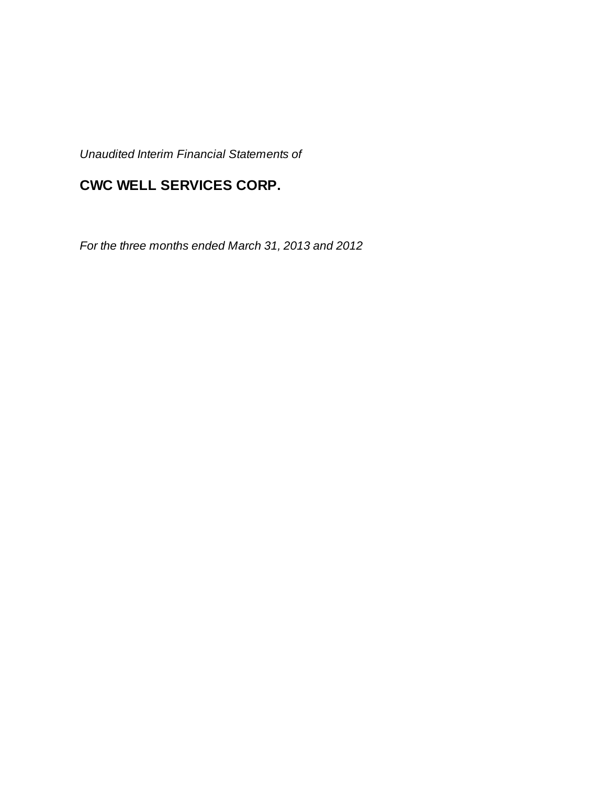*Unaudited Interim Financial Statements of*

# **CWC WELL SERVICES CORP.**

*For the three months ended March 31, 2013 and 2012*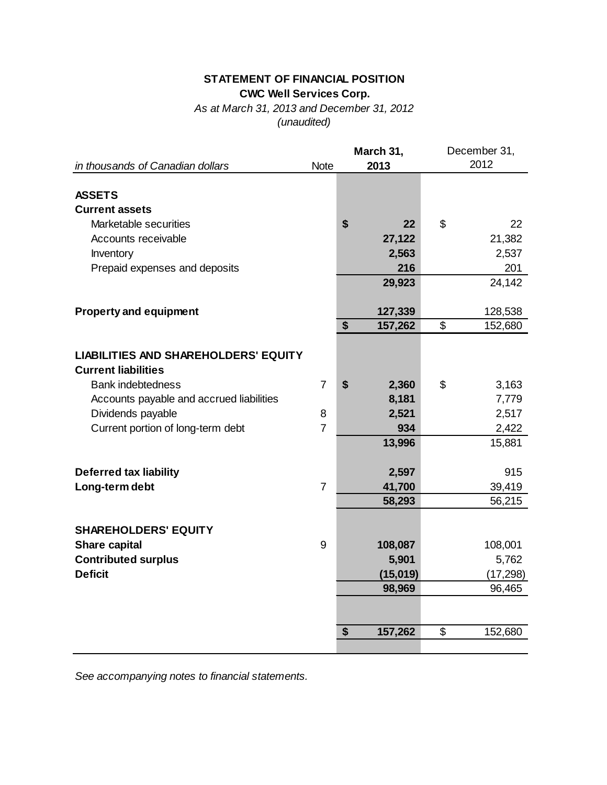## **STATEMENT OF FINANCIAL POSITION CWC Well Services Corp.**

*As at March 31, 2013 and December 31, 2012 (unaudited)*

|                                             |                | March 31,     | December 31,  |  |  |
|---------------------------------------------|----------------|---------------|---------------|--|--|
| in thousands of Canadian dollars            | <b>Note</b>    | 2013          | 2012          |  |  |
|                                             |                |               |               |  |  |
| <b>ASSETS</b>                               |                |               |               |  |  |
| <b>Current assets</b>                       |                |               |               |  |  |
| Marketable securities                       |                | \$<br>22      | \$<br>22      |  |  |
| Accounts receivable                         |                | 27,122        | 21,382        |  |  |
| Inventory                                   |                | 2,563         | 2,537         |  |  |
| Prepaid expenses and deposits               |                | 216           | 201           |  |  |
|                                             |                | 29,923        | 24,142        |  |  |
|                                             |                |               |               |  |  |
| <b>Property and equipment</b>               |                | 127,339       | 128,538       |  |  |
|                                             |                | \$<br>157,262 | \$<br>152,680 |  |  |
|                                             |                |               |               |  |  |
| <b>LIABILITIES AND SHAREHOLDERS' EQUITY</b> |                |               |               |  |  |
| <b>Current liabilities</b>                  |                |               |               |  |  |
| <b>Bank indebtedness</b>                    | $\overline{7}$ | \$<br>2,360   | \$<br>3,163   |  |  |
| Accounts payable and accrued liabilities    |                | 8,181         | 7,779         |  |  |
| Dividends payable                           | 8              | 2,521         | 2,517         |  |  |
| Current portion of long-term debt           | $\overline{7}$ | 934           | 2,422         |  |  |
|                                             |                | 13,996        | 15,881        |  |  |
|                                             |                |               |               |  |  |
| <b>Deferred tax liability</b>               |                | 2,597         | 915           |  |  |
| Long-term debt                              | $\overline{7}$ | 41,700        | 39,419        |  |  |
|                                             |                | 58,293        | 56,215        |  |  |
|                                             |                |               |               |  |  |
| <b>SHAREHOLDERS' EQUITY</b>                 |                |               |               |  |  |
| Share capital                               | 9              | 108,087       | 108,001       |  |  |
| <b>Contributed surplus</b>                  |                | 5,901         | 5,762         |  |  |
| <b>Deficit</b>                              |                | (15,019)      | (17, 298)     |  |  |
|                                             |                | 98,969        | 96,465        |  |  |
|                                             |                |               |               |  |  |
|                                             |                |               |               |  |  |
|                                             |                | \$<br>157,262 | \$<br>152,680 |  |  |
|                                             |                |               |               |  |  |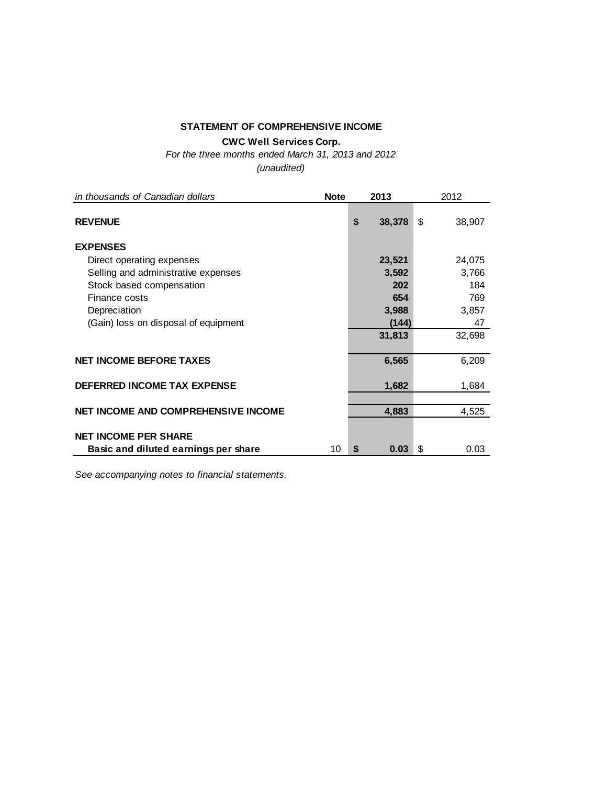## **STATEMENT OF COMPREHENSIVE INCOME**

**CWC Well Services Corp.**

*For the three months ended March 31, 2013 and 2012*

*(unaudited)*

| in thousands of Canadian dollars           | <b>Note</b> |    | 2013   | 2012         |  |  |
|--------------------------------------------|-------------|----|--------|--------------|--|--|
| <b>REVENUE</b>                             |             | \$ | 38,378 | \$<br>38,907 |  |  |
| <b>EXPENSES</b>                            |             |    |        |              |  |  |
| Direct operating expenses                  |             |    | 23,521 | 24,075       |  |  |
| Selling and administrative expenses        |             |    | 3,592  | 3,766        |  |  |
| Stock based compensation                   |             |    | 202    | 184          |  |  |
| Finance costs                              |             |    | 654    | 769          |  |  |
| Depreciation                               |             |    | 3,988  | 3,857        |  |  |
| (Gain) loss on disposal of equipment       |             |    | (144)  | 47           |  |  |
|                                            |             |    | 31,813 | 32,698       |  |  |
| <b>NET INCOME BEFORE TAXES</b>             |             |    | 6,565  | 6,209        |  |  |
| <b>DEFERRED INCOME TAX EXPENSE</b>         |             |    | 1,682  | 1,684        |  |  |
| <b>NET INCOME AND COMPREHENSIVE INCOME</b> |             |    | 4,883  | 4,525        |  |  |
| <b>NET INCOME PER SHARE</b>                |             |    |        |              |  |  |
| Basic and diluted earnings per share       | 10          | S  | 0.03   | \$<br>0.03   |  |  |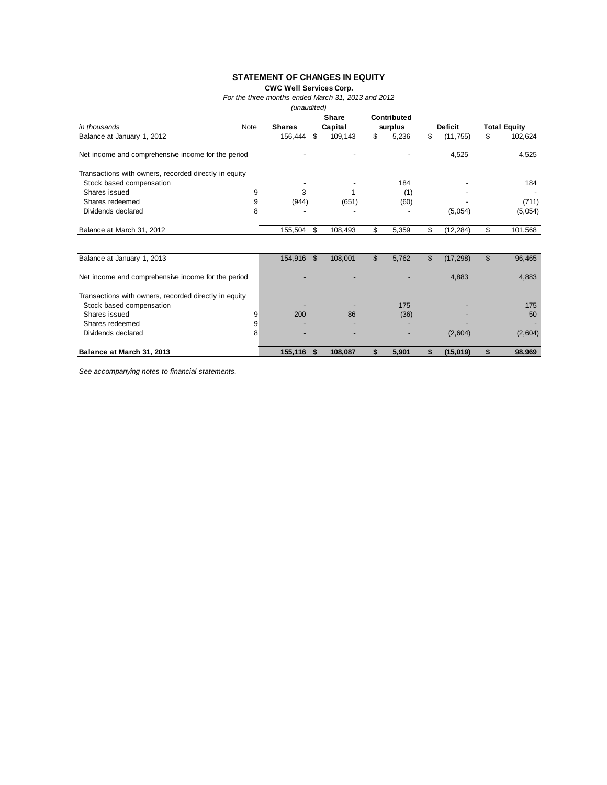## **STATEMENT OF CHANGES IN EQUITY**

**CWC Well Services Corp.**

*For the three months ended March 31, 2013 and 2012*

*(unaudited)*

|                                                       |      |               |    | <b>Share</b> | Contributed |                 |                     |
|-------------------------------------------------------|------|---------------|----|--------------|-------------|-----------------|---------------------|
| in thousands                                          | Note | <b>Shares</b> |    | Capital      | surplus     | <b>Deficit</b>  | <b>Total Equity</b> |
| Balance at January 1, 2012                            |      | 156,444       | \$ | 109,143      | \$<br>5,236 | \$<br>(11, 755) | \$<br>102,624       |
| Net income and comprehensive income for the period    |      |               |    |              |             | 4,525           | 4,525               |
| Transactions with owners, recorded directly in equity |      |               |    |              |             |                 |                     |
| Stock based compensation                              |      |               |    |              | 184         |                 | 184                 |
| Shares issued                                         | 9    | 3             |    |              | (1)         |                 |                     |
| Shares redeemed                                       | 9    | (944)         |    | (651)        | (60)        |                 | (711)               |
| Dividends declared                                    | 8    |               |    |              |             | (5,054)         | (5,054)             |
| Balance at March 31, 2012                             |      | 155,504       | \$ | 108,493      | \$<br>5,359 | \$<br>(12, 284) | \$<br>101,568       |
|                                                       |      |               |    |              |             |                 |                     |
| Balance at January 1, 2013                            |      | 154,916       | \$ | 108,001      | \$<br>5,762 | \$<br>(17, 298) | \$<br>96,465        |
| Net income and comprehensive income for the period    |      |               |    |              |             | 4,883           | 4,883               |
| Transactions with owners, recorded directly in equity |      |               |    |              |             |                 |                     |
| Stock based compensation                              |      |               |    |              | 175         |                 | 175                 |
| Shares issued                                         | 9    | 200           |    | 86           | (36)        |                 | 50                  |
| Shares redeemed                                       | 9    |               |    |              |             |                 |                     |
| Dividends declared                                    | 8    |               |    |              |             | (2,604)         | (2,604)             |
| Balance at March 31, 2013                             |      | 155,116       | S. | 108,087      | \$<br>5,901 | \$<br>(15,019)  | \$<br>98,969        |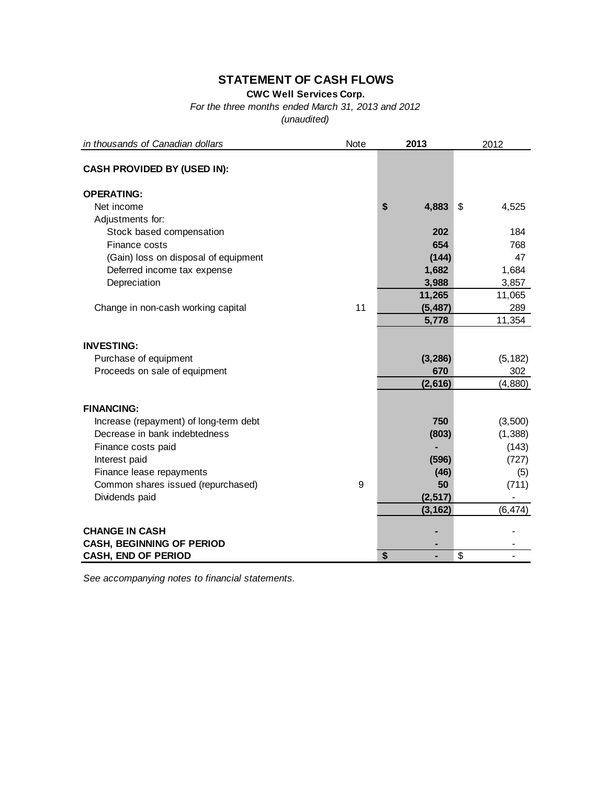# **STATEMENT OF CASH FLOWS**

**CWC Well Services Corp.**

*For the three months ended March 31, 2013 and 2012*

*(unaudited)*

| in thousands of Canadian dollars       | Note | 2013        | 2012                     |
|----------------------------------------|------|-------------|--------------------------|
| <b>CASH PROVIDED BY (USED IN):</b>     |      |             |                          |
| <b>OPERATING:</b>                      |      |             |                          |
| Net income                             |      | \$<br>4,883 | \$<br>4,525              |
| Adjustments for:                       |      |             |                          |
| Stock based compensation               |      | 202         | 184                      |
| Finance costs                          |      | 654         | 768                      |
| (Gain) loss on disposal of equipment   |      | (144)       | 47                       |
| Deferred income tax expense            |      | 1,682       | 1,684                    |
| Depreciation                           |      | 3,988       | 3,857                    |
|                                        |      | 11,265      | 11,065                   |
| Change in non-cash working capital     | 11   | (5, 487)    | 289                      |
|                                        |      | 5,778       | 11,354                   |
| <b>INVESTING:</b>                      |      |             |                          |
| Purchase of equipment                  |      | (3, 286)    | (5, 182)                 |
| Proceeds on sale of equipment          |      | 670         | 302                      |
|                                        |      | (2,616)     | (4,880)                  |
|                                        |      |             |                          |
| <b>FINANCING:</b>                      |      |             |                          |
| Increase (repayment) of long-term debt |      | 750         | (3,500)                  |
| Decrease in bank indebtedness          |      | (803)       | (1,388)                  |
| Finance costs paid                     |      |             | (143)                    |
| Interest paid                          |      | (596)       | (727)                    |
| Finance lease repayments               |      | (46)        | (5)                      |
| Common shares issued (repurchased)     | 9    | 50          | (711)                    |
| Dividends paid                         |      | (2, 517)    |                          |
|                                        |      | (3, 162)    | (6, 474)                 |
| <b>CHANGE IN CASH</b>                  |      |             |                          |
| <b>CASH, BEGINNING OF PERIOD</b>       |      |             |                          |
| <b>CASH, END OF PERIOD</b>             |      | \$          | $\overline{\mathcal{S}}$ |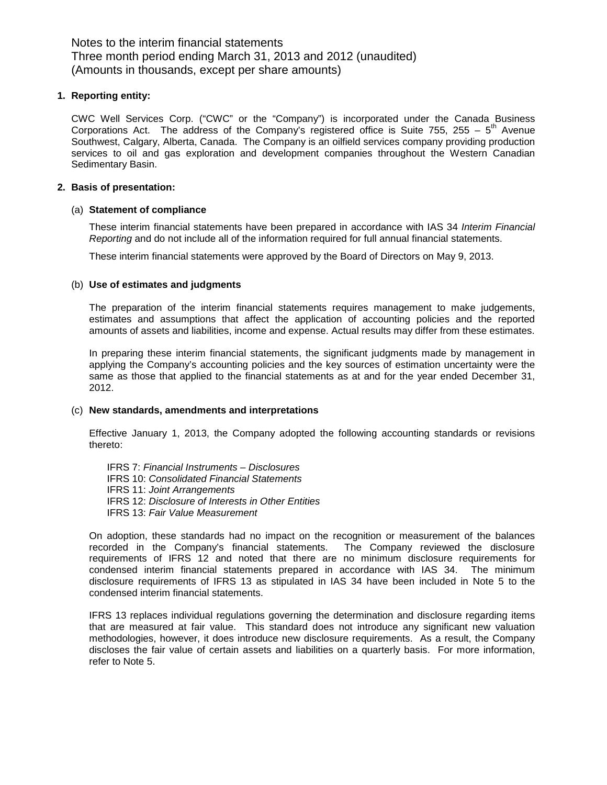#### **1. Reporting entity:**

CWC Well Services Corp. ("CWC" or the "Company") is incorporated under the Canada Business Corporations Act. The address of the Company's registered office is Suite 755, 255 –  $5<sup>th</sup>$  Avenue Southwest, Calgary, Alberta, Canada. The Company is an oilfield services company providing production services to oil and gas exploration and development companies throughout the Western Canadian Sedimentary Basin.

## **2. Basis of presentation:**

### (a) **Statement of compliance**

These interim financial statements have been prepared in accordance with IAS 34 *Interim Financial Reporting* and do not include all of the information required for full annual financial statements.

These interim financial statements were approved by the Board of Directors on May 9, 2013.

### (b) **Use of estimates and judgments**

The preparation of the interim financial statements requires management to make judgements, estimates and assumptions that affect the application of accounting policies and the reported amounts of assets and liabilities, income and expense. Actual results may differ from these estimates.

In preparing these interim financial statements, the significant judgments made by management in applying the Company's accounting policies and the key sources of estimation uncertainty were the same as those that applied to the financial statements as at and for the year ended December 31, 2012.

#### (c) **New standards, amendments and interpretations**

Effective January 1, 2013, the Company adopted the following accounting standards or revisions thereto:

IFRS 7: *Financial Instruments – Disclosures* IFRS 10: *Consolidated Financial Statements* IFRS 11: *Joint Arrangements* IFRS 12: *Disclosure of Interests in Other Entities* IFRS 13: *Fair Value Measurement*

On adoption, these standards had no impact on the recognition or measurement of the balances recorded in the Company's financial statements. The Company reviewed the disclosure requirements of IFRS 12 and noted that there are no minimum disclosure requirements for condensed interim financial statements prepared in accordance with IAS 34. The minimum disclosure requirements of IFRS 13 as stipulated in IAS 34 have been included in Note 5 to the condensed interim financial statements.

IFRS 13 replaces individual regulations governing the determination and disclosure regarding items that are measured at fair value. This standard does not introduce any significant new valuation methodologies, however, it does introduce new disclosure requirements. As a result, the Company discloses the fair value of certain assets and liabilities on a quarterly basis. For more information, refer to Note 5.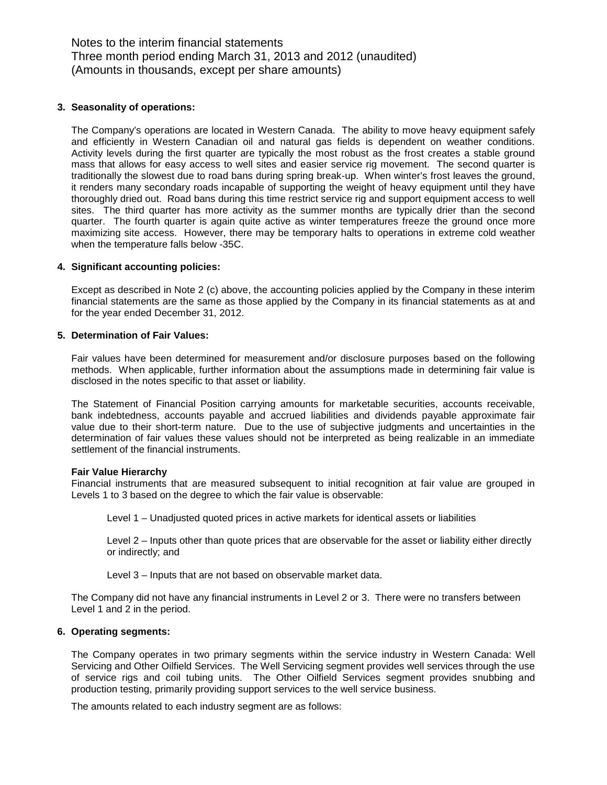#### **3. Seasonality of operations:**

The Company's operations are located in Western Canada. The ability to move heavy equipment safely and efficiently in Western Canadian oil and natural gas fields is dependent on weather conditions. Activity levels during the first quarter are typically the most robust as the frost creates a stable ground mass that allows for easy access to well sites and easier service rig movement. The second quarter is traditionally the slowest due to road bans during spring break-up. When winter's frost leaves the ground, it renders many secondary roads incapable of supporting the weight of heavy equipment until they have thoroughly dried out. Road bans during this time restrict service rig and support equipment access to well sites. The third quarter has more activity as the summer months are typically drier than the second quarter. The fourth quarter is again quite active as winter temperatures freeze the ground once more maximizing site access. However, there may be temporary halts to operations in extreme cold weather when the temperature falls below -35C.

#### **4. Significant accounting policies:**

Except as described in Note 2 (c) above, the accounting policies applied by the Company in these interim financial statements are the same as those applied by the Company in its financial statements as at and for the year ended December 31, 2012.

#### **5. Determination of Fair Values:**

Fair values have been determined for measurement and/or disclosure purposes based on the following methods. When applicable, further information about the assumptions made in determining fair value is disclosed in the notes specific to that asset or liability.

The Statement of Financial Position carrying amounts for marketable securities, accounts receivable, bank indebtedness, accounts payable and accrued liabilities and dividends payable approximate fair value due to their short-term nature. Due to the use of subjective judgments and uncertainties in the determination of fair values these values should not be interpreted as being realizable in an immediate settlement of the financial instruments.

#### **Fair Value Hierarchy**

Financial instruments that are measured subsequent to initial recognition at fair value are grouped in Levels 1 to 3 based on the degree to which the fair value is observable:

Level 1 – Unadjusted quoted prices in active markets for identical assets or liabilities

Level 2 – Inputs other than quote prices that are observable for the asset or liability either directly or indirectly; and

Level 3 – Inputs that are not based on observable market data.

The Company did not have any financial instruments in Level 2 or 3. There were no transfers between Level 1 and 2 in the period.

#### **6. Operating segments:**

The Company operates in two primary segments within the service industry in Western Canada: Well Servicing and Other Oilfield Services. The Well Servicing segment provides well services through the use of service rigs and coil tubing units. The Other Oilfield Services segment provides snubbing and production testing, primarily providing support services to the well service business.

The amounts related to each industry segment are as follows: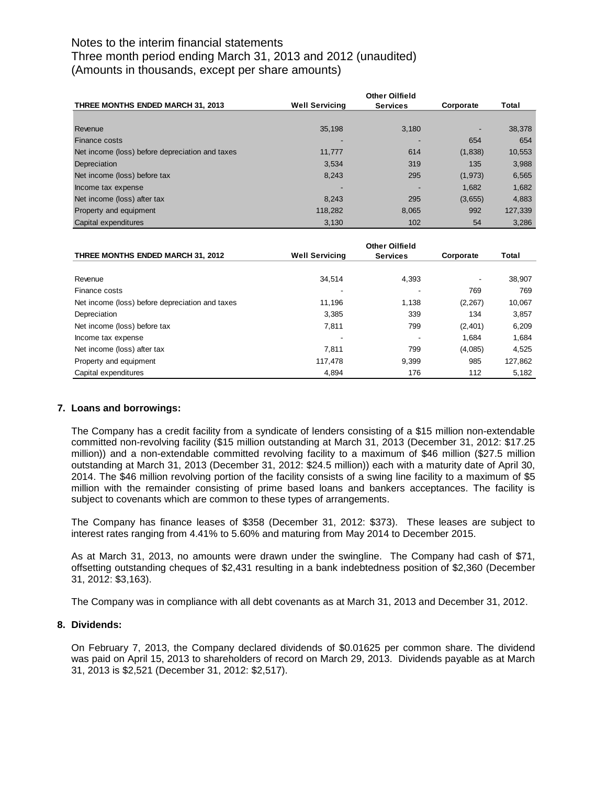| <b>THREE MONTHS ENDED MARCH 31, 2013</b>        | <b>Well Servicing</b> | <b>Services</b> | Corporate | Total   |
|-------------------------------------------------|-----------------------|-----------------|-----------|---------|
|                                                 |                       |                 |           |         |
| Revenue                                         | 35.198                | 3,180           |           | 38,378  |
| Finance costs                                   |                       |                 | 654       | 654     |
| Net income (loss) before depreciation and taxes | 11.777                | 614             | (1,838)   | 10,553  |
| Depreciation                                    | 3,534                 | 319             | 135       | 3,988   |
| Net income (loss) before tax                    | 8,243                 | 295             | (1,973)   | 6,565   |
| Income tax expense                              |                       |                 | 1.682     | 1,682   |
| Net income (loss) after tax                     | 8.243                 | 295             | (3,655)   | 4,883   |
| Property and equipment                          | 118,282               | 8,065           | 992       | 127,339 |
| Capital expenditures                            | 3,130                 | 102             | 54        | 3,286   |

| THREE MONTHS ENDED MARCH 31, 2012               | <b>Well Servicing</b> | <b>Services</b> | Corporate | Total   |
|-------------------------------------------------|-----------------------|-----------------|-----------|---------|
|                                                 |                       |                 |           |         |
| Revenue                                         | 34.514                | 4,393           |           | 38,907  |
| Finance costs                                   |                       | -               | 769       | 769     |
| Net income (loss) before depreciation and taxes | 11.196                | 1,138           | (2, 267)  | 10,067  |
| Depreciation                                    | 3.385                 | 339             | 134       | 3,857   |
| Net income (loss) before tax                    | 7.811                 | 799             | (2,401)   | 6,209   |
| Income tax expense                              |                       | -               | 1.684     | 1.684   |
| Net income (loss) after tax                     | 7.811                 | 799             | (4,085)   | 4.525   |
| Property and equipment                          | 117.478               | 9.399           | 985       | 127,862 |
| Capital expenditures                            | 4,894                 | 176             | 112       | 5,182   |

## **7. Loans and borrowings:**

The Company has a credit facility from a syndicate of lenders consisting of a \$15 million non-extendable committed non-revolving facility (\$15 million outstanding at March 31, 2013 (December 31, 2012: \$17.25 million)) and a non-extendable committed revolving facility to a maximum of \$46 million (\$27.5 million outstanding at March 31, 2013 (December 31, 2012: \$24.5 million)) each with a maturity date of April 30, 2014. The \$46 million revolving portion of the facility consists of a swing line facility to a maximum of \$5 million with the remainder consisting of prime based loans and bankers acceptances. The facility is subject to covenants which are common to these types of arrangements.

The Company has finance leases of \$358 (December 31, 2012: \$373). These leases are subject to interest rates ranging from 4.41% to 5.60% and maturing from May 2014 to December 2015.

As at March 31, 2013, no amounts were drawn under the swingline. The Company had cash of \$71, offsetting outstanding cheques of \$2,431 resulting in a bank indebtedness position of \$2,360 (December 31, 2012: \$3,163).

The Company was in compliance with all debt covenants as at March 31, 2013 and December 31, 2012.

#### **8. Dividends:**

On February 7, 2013, the Company declared dividends of \$0.01625 per common share. The dividend was paid on April 15, 2013 to shareholders of record on March 29, 2013. Dividends payable as at March 31, 2013 is \$2,521 (December 31, 2012: \$2,517).